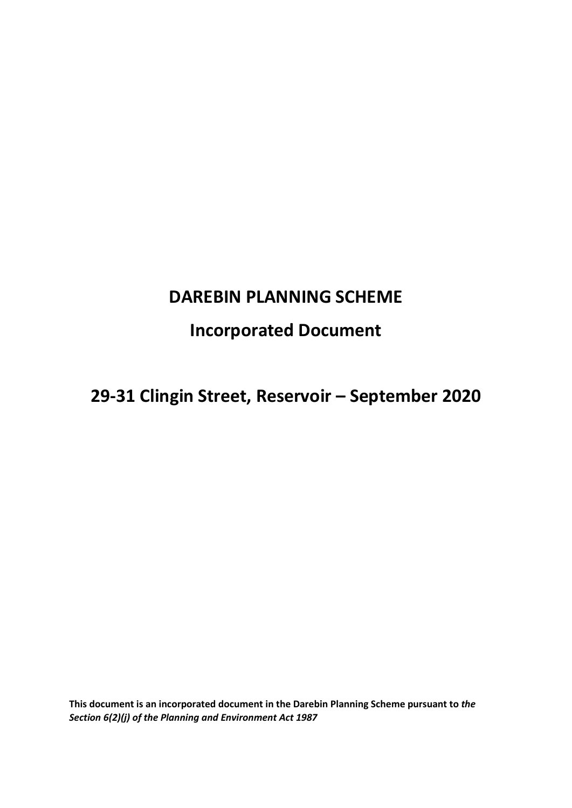# **DAREBIN PLANNING SCHEME**

## **Incorporated Document**

# **29-31 Clingin Street, Reservoir – September 2020**

**This document is an incorporated document in the Darebin Planning Scheme pursuant to** *the Section 6(2)(j) of the Planning and Environment Act 1987*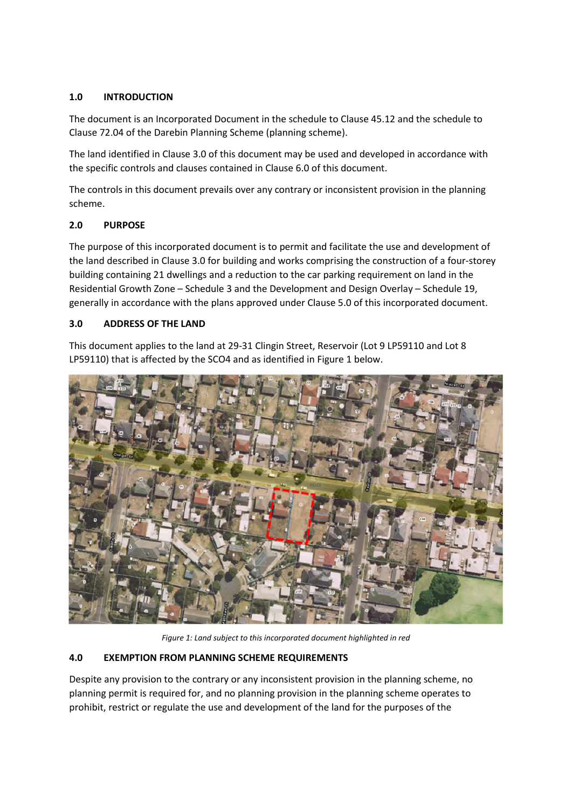## **1.0 INTRODUCTION**

The document is an Incorporated Document in the schedule to Clause 45.12 and the schedule to Clause 72.04 of the Darebin Planning Scheme (planning scheme).

The land identified in Clause 3.0 of this document may be used and developed in accordance with the specific controls and clauses contained in Clause 6.0 of this document.

The controls in this document prevails over any contrary or inconsistent provision in the planning scheme.

## **2.0 PURPOSE**

The purpose of this incorporated document is to permit and facilitate the use and development of the land described in Clause 3.0 for building and works comprising the construction of a four-storey building containing 21 dwellings and a reduction to the car parking requirement on land in the Residential Growth Zone – Schedule 3 and the Development and Design Overlay – Schedule 19, generally in accordance with the plans approved under Clause 5.0 of this incorporated document.

#### **3.0 ADDRESS OF THE LAND**

This document applies to the land at 29-31 Clingin Street, Reservoir (Lot 9 LP59110 and Lot 8 LP59110) that is affected by the SCO4 and as identified in Figure 1 below.



*Figure 1: Land subject to this incorporated document highlighted in red* 

#### **4.0 EXEMPTION FROM PLANNING SCHEME REQUIREMENTS**

Despite any provision to the contrary or any inconsistent provision in the planning scheme, no planning permit is required for, and no planning provision in the planning scheme operates to prohibit, restrict or regulate the use and development of the land for the purposes of the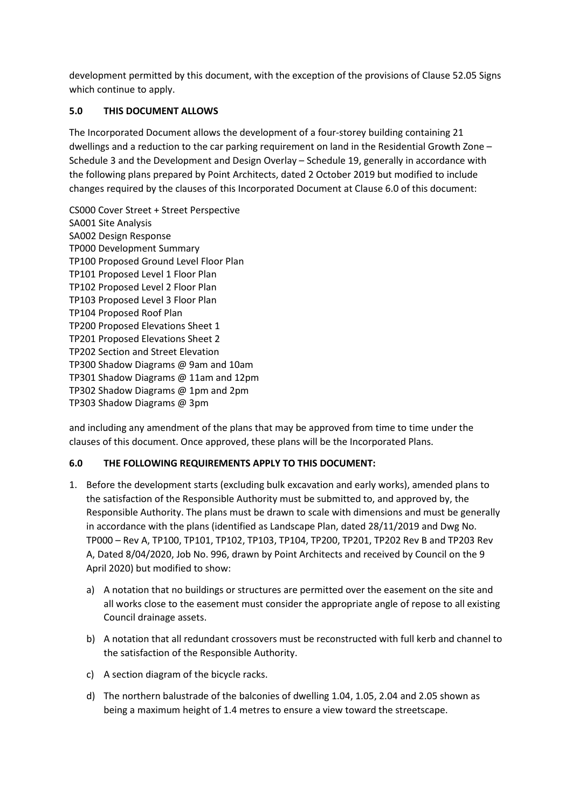development permitted by this document, with the exception of the provisions of Clause 52.05 Signs which continue to apply.

## **5.0 THIS DOCUMENT ALLOWS**

The Incorporated Document allows the development of a four-storey building containing 21 dwellings and a reduction to the car parking requirement on land in the Residential Growth Zone – Schedule 3 and the Development and Design Overlay – Schedule 19, generally in accordance with the following plans prepared by Point Architects, dated 2 October 2019 but modified to include changes required by the clauses of this Incorporated Document at Clause 6.0 of this document:

CS000 Cover Street + Street Perspective SA001 Site Analysis SA002 Design Response TP000 Development Summary TP100 Proposed Ground Level Floor Plan TP101 Proposed Level 1 Floor Plan TP102 Proposed Level 2 Floor Plan TP103 Proposed Level 3 Floor Plan TP104 Proposed Roof Plan TP200 Proposed Elevations Sheet 1 TP201 Proposed Elevations Sheet 2 TP202 Section and Street Elevation TP300 Shadow Diagrams @ 9am and 10am TP301 Shadow Diagrams @ 11am and 12pm TP302 Shadow Diagrams @ 1pm and 2pm TP303 Shadow Diagrams @ 3pm

and including any amendment of the plans that may be approved from time to time under the clauses of this document. Once approved, these plans will be the Incorporated Plans.

#### **6.0 THE FOLLOWING REQUIREMENTS APPLY TO THIS DOCUMENT:**

- 1. Before the development starts (excluding bulk excavation and early works), amended plans to the satisfaction of the Responsible Authority must be submitted to, and approved by, the Responsible Authority. The plans must be drawn to scale with dimensions and must be generally in accordance with the plans (identified as Landscape Plan, dated 28/11/2019 and Dwg No. TP000 – Rev A, TP100, TP101, TP102, TP103, TP104, TP200, TP201, TP202 Rev B and TP203 Rev A, Dated 8/04/2020, Job No. 996, drawn by Point Architects and received by Council on the 9 April 2020) but modified to show:
	- a) A notation that no buildings or structures are permitted over the easement on the site and all works close to the easement must consider the appropriate angle of repose to all existing Council drainage assets.
	- b) A notation that all redundant crossovers must be reconstructed with full kerb and channel to the satisfaction of the Responsible Authority.
	- c) A section diagram of the bicycle racks.
	- d) The northern balustrade of the balconies of dwelling 1.04, 1.05, 2.04 and 2.05 shown as being a maximum height of 1.4 metres to ensure a view toward the streetscape.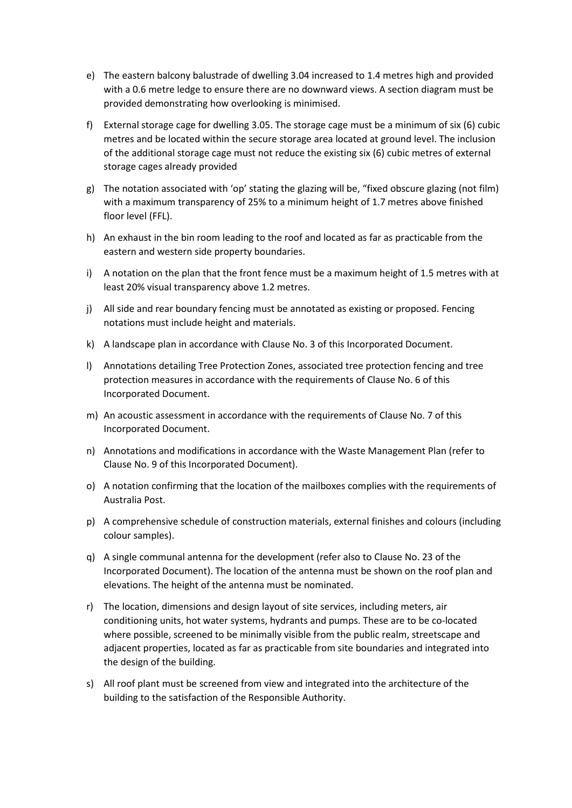- e) The eastern balcony balustrade of dwelling 3.04 increased to 1.4 metres high and provided with a 0.6 metre ledge to ensure there are no downward views. A section diagram must be provided demonstrating how overlooking is minimised.
- f) External storage cage for dwelling 3.05. The storage cage must be a minimum of six (6) cubic metres and be located within the secure storage area located at ground level. The inclusion of the additional storage cage must not reduce the existing six (6) cubic metres of external storage cages already provided
- g) The notation associated with 'op' stating the glazing will be, "fixed obscure glazing (not film) with a maximum transparency of 25% to a minimum height of 1.7 metres above finished floor level (FFL).
- h) An exhaust in the bin room leading to the roof and located as far as practicable from the eastern and western side property boundaries.
- i) A notation on the plan that the front fence must be a maximum height of 1.5 metres with at least 20% visual transparency above 1.2 metres.
- j) All side and rear boundary fencing must be annotated as existing or proposed. Fencing notations must include height and materials.
- k) A landscape plan in accordance with Clause No. 3 of this Incorporated Document.
- l) Annotations detailing Tree Protection Zones, associated tree protection fencing and tree protection measures in accordance with the requirements of Clause No. 6 of this Incorporated Document.
- m) An acoustic assessment in accordance with the requirements of Clause No. 7 of this Incorporated Document.
- n) Annotations and modifications in accordance with the Waste Management Plan (refer to Clause No. 9 of this Incorporated Document).
- o) A notation confirming that the location of the mailboxes complies with the requirements of Australia Post.
- p) A comprehensive schedule of construction materials, external finishes and colours (including colour samples).
- q) A single communal antenna for the development (refer also to Clause No. 23 of the Incorporated Document). The location of the antenna must be shown on the roof plan and elevations. The height of the antenna must be nominated.
- r) The location, dimensions and design layout of site services, including meters, air conditioning units, hot water systems, hydrants and pumps. These are to be co-located where possible, screened to be minimally visible from the public realm, streetscape and adjacent properties, located as far as practicable from site boundaries and integrated into the design of the building.
- s) All roof plant must be screened from view and integrated into the architecture of the building to the satisfaction of the Responsible Authority.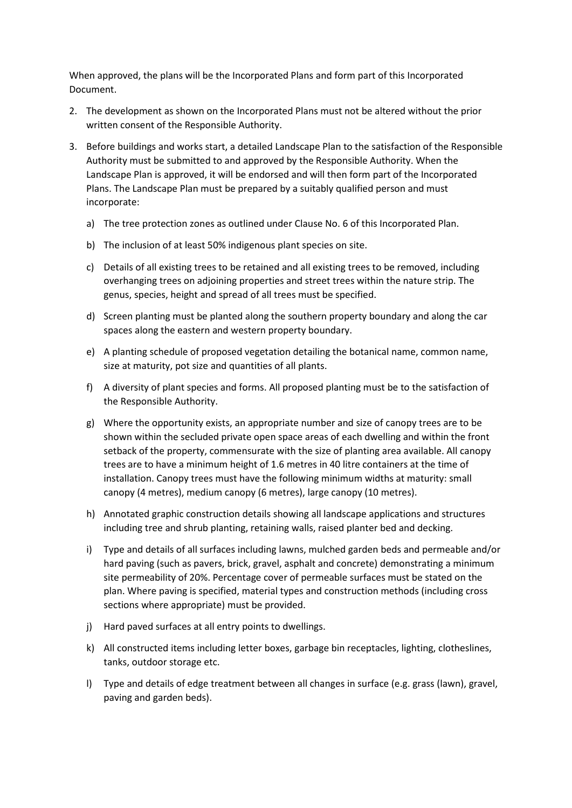When approved, the plans will be the Incorporated Plans and form part of this Incorporated Document.

- 2. The development as shown on the Incorporated Plans must not be altered without the prior written consent of the Responsible Authority.
- 3. Before buildings and works start, a detailed Landscape Plan to the satisfaction of the Responsible Authority must be submitted to and approved by the Responsible Authority. When the Landscape Plan is approved, it will be endorsed and will then form part of the Incorporated Plans. The Landscape Plan must be prepared by a suitably qualified person and must incorporate:
	- a) The tree protection zones as outlined under Clause No. 6 of this Incorporated Plan.
	- b) The inclusion of at least 50% indigenous plant species on site.
	- c) Details of all existing trees to be retained and all existing trees to be removed, including overhanging trees on adjoining properties and street trees within the nature strip. The genus, species, height and spread of all trees must be specified.
	- d) Screen planting must be planted along the southern property boundary and along the car spaces along the eastern and western property boundary.
	- e) A planting schedule of proposed vegetation detailing the botanical name, common name, size at maturity, pot size and quantities of all plants.
	- f) A diversity of plant species and forms. All proposed planting must be to the satisfaction of the Responsible Authority.
	- g) Where the opportunity exists, an appropriate number and size of canopy trees are to be shown within the secluded private open space areas of each dwelling and within the front setback of the property, commensurate with the size of planting area available. All canopy trees are to have a minimum height of 1.6 metres in 40 litre containers at the time of installation. Canopy trees must have the following minimum widths at maturity: small canopy (4 metres), medium canopy (6 metres), large canopy (10 metres).
	- h) Annotated graphic construction details showing all landscape applications and structures including tree and shrub planting, retaining walls, raised planter bed and decking.
	- i) Type and details of all surfaces including lawns, mulched garden beds and permeable and/or hard paving (such as pavers, brick, gravel, asphalt and concrete) demonstrating a minimum site permeability of 20%. Percentage cover of permeable surfaces must be stated on the plan. Where paving is specified, material types and construction methods (including cross sections where appropriate) must be provided.
	- j) Hard paved surfaces at all entry points to dwellings.
	- k) All constructed items including letter boxes, garbage bin receptacles, lighting, clotheslines, tanks, outdoor storage etc.
	- l) Type and details of edge treatment between all changes in surface (e.g. grass (lawn), gravel, paving and garden beds).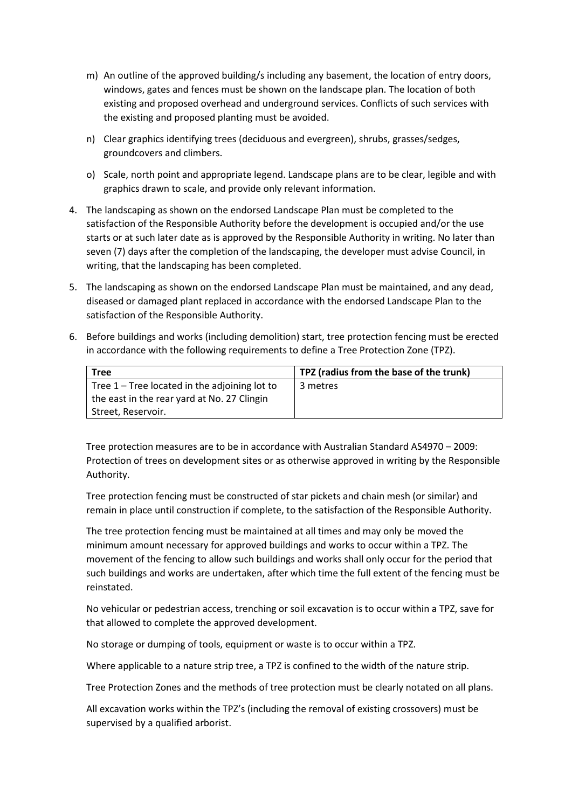- m) An outline of the approved building/s including any basement, the location of entry doors, windows, gates and fences must be shown on the landscape plan. The location of both existing and proposed overhead and underground services. Conflicts of such services with the existing and proposed planting must be avoided.
- n) Clear graphics identifying trees (deciduous and evergreen), shrubs, grasses/sedges, groundcovers and climbers.
- o) Scale, north point and appropriate legend. Landscape plans are to be clear, legible and with graphics drawn to scale, and provide only relevant information.
- 4. The landscaping as shown on the endorsed Landscape Plan must be completed to the satisfaction of the Responsible Authority before the development is occupied and/or the use starts or at such later date as is approved by the Responsible Authority in writing. No later than seven (7) days after the completion of the landscaping, the developer must advise Council, in writing, that the landscaping has been completed.
- 5. The landscaping as shown on the endorsed Landscape Plan must be maintained, and any dead, diseased or damaged plant replaced in accordance with the endorsed Landscape Plan to the satisfaction of the Responsible Authority.
- 6. Before buildings and works (including demolition) start, tree protection fencing must be erected in accordance with the following requirements to define a Tree Protection Zone (TPZ).

| <b>Tree</b>                                   | TPZ (radius from the base of the trunk) |
|-----------------------------------------------|-----------------------------------------|
| Tree 1 – Tree located in the adjoining lot to | 3 metres                                |
| the east in the rear yard at No. 27 Clingin   |                                         |
| Street, Reservoir.                            |                                         |

Tree protection measures are to be in accordance with Australian Standard AS4970 – 2009: Protection of trees on development sites or as otherwise approved in writing by the Responsible Authority.

Tree protection fencing must be constructed of star pickets and chain mesh (or similar) and remain in place until construction if complete, to the satisfaction of the Responsible Authority.

The tree protection fencing must be maintained at all times and may only be moved the minimum amount necessary for approved buildings and works to occur within a TPZ. The movement of the fencing to allow such buildings and works shall only occur for the period that such buildings and works are undertaken, after which time the full extent of the fencing must be reinstated.

No vehicular or pedestrian access, trenching or soil excavation is to occur within a TPZ, save for that allowed to complete the approved development.

No storage or dumping of tools, equipment or waste is to occur within a TPZ.

Where applicable to a nature strip tree, a TPZ is confined to the width of the nature strip.

Tree Protection Zones and the methods of tree protection must be clearly notated on all plans.

All excavation works within the TPZ's (including the removal of existing crossovers) must be supervised by a qualified arborist.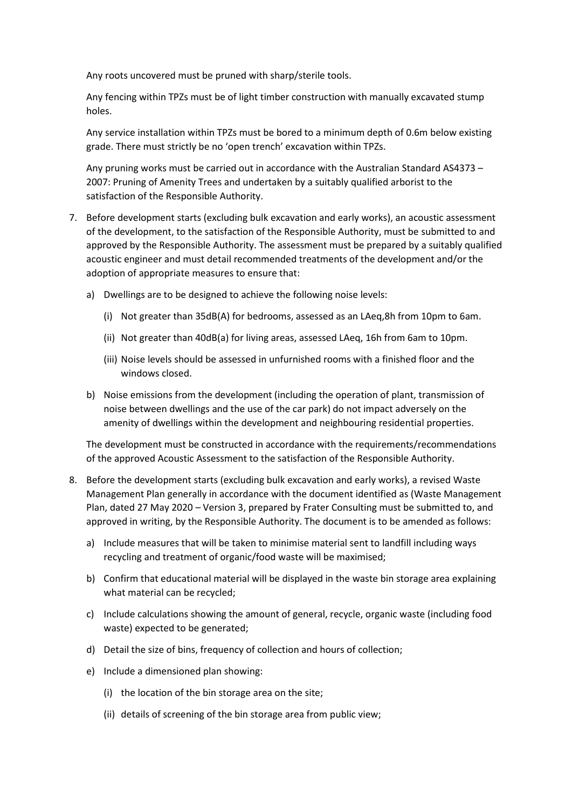Any roots uncovered must be pruned with sharp/sterile tools.

Any fencing within TPZs must be of light timber construction with manually excavated stump holes.

Any service installation within TPZs must be bored to a minimum depth of 0.6m below existing grade. There must strictly be no 'open trench' excavation within TPZs.

Any pruning works must be carried out in accordance with the Australian Standard AS4373 – 2007: Pruning of Amenity Trees and undertaken by a suitably qualified arborist to the satisfaction of the Responsible Authority.

- 7. Before development starts (excluding bulk excavation and early works), an acoustic assessment of the development, to the satisfaction of the Responsible Authority, must be submitted to and approved by the Responsible Authority. The assessment must be prepared by a suitably qualified acoustic engineer and must detail recommended treatments of the development and/or the adoption of appropriate measures to ensure that:
	- a) Dwellings are to be designed to achieve the following noise levels:
		- (i) Not greater than 35dB(A) for bedrooms, assessed as an LAeq,8h from 10pm to 6am.
		- (ii) Not greater than 40dB(a) for living areas, assessed LAeq, 16h from 6am to 10pm.
		- (iii) Noise levels should be assessed in unfurnished rooms with a finished floor and the windows closed.
	- b) Noise emissions from the development (including the operation of plant, transmission of noise between dwellings and the use of the car park) do not impact adversely on the amenity of dwellings within the development and neighbouring residential properties.

The development must be constructed in accordance with the requirements/recommendations of the approved Acoustic Assessment to the satisfaction of the Responsible Authority.

- 8. Before the development starts (excluding bulk excavation and early works), a revised Waste Management Plan generally in accordance with the document identified as (Waste Management Plan, dated 27 May 2020 – Version 3, prepared by Frater Consulting must be submitted to, and approved in writing, by the Responsible Authority. The document is to be amended as follows:
	- a) Include measures that will be taken to minimise material sent to landfill including ways recycling and treatment of organic/food waste will be maximised;
	- b) Confirm that educational material will be displayed in the waste bin storage area explaining what material can be recycled;
	- c) Include calculations showing the amount of general, recycle, organic waste (including food waste) expected to be generated;
	- d) Detail the size of bins, frequency of collection and hours of collection;
	- e) Include a dimensioned plan showing:
		- (i) the location of the bin storage area on the site;
		- (ii) details of screening of the bin storage area from public view;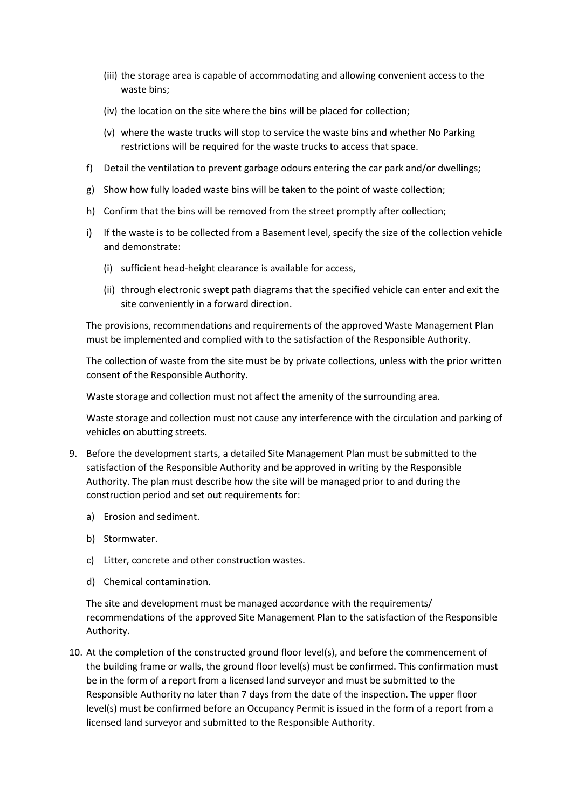- (iii) the storage area is capable of accommodating and allowing convenient access to the waste bins;
- (iv) the location on the site where the bins will be placed for collection;
- (v) where the waste trucks will stop to service the waste bins and whether No Parking restrictions will be required for the waste trucks to access that space.
- f) Detail the ventilation to prevent garbage odours entering the car park and/or dwellings;
- g) Show how fully loaded waste bins will be taken to the point of waste collection;
- h) Confirm that the bins will be removed from the street promptly after collection;
- i) If the waste is to be collected from a Basement level, specify the size of the collection vehicle and demonstrate:
	- (i) sufficient head-height clearance is available for access,
	- (ii) through electronic swept path diagrams that the specified vehicle can enter and exit the site conveniently in a forward direction.

The provisions, recommendations and requirements of the approved Waste Management Plan must be implemented and complied with to the satisfaction of the Responsible Authority.

The collection of waste from the site must be by private collections, unless with the prior written consent of the Responsible Authority.

Waste storage and collection must not affect the amenity of the surrounding area.

Waste storage and collection must not cause any interference with the circulation and parking of vehicles on abutting streets.

- 9. Before the development starts, a detailed Site Management Plan must be submitted to the satisfaction of the Responsible Authority and be approved in writing by the Responsible Authority. The plan must describe how the site will be managed prior to and during the construction period and set out requirements for:
	- a) Erosion and sediment.
	- b) Stormwater.
	- c) Litter, concrete and other construction wastes.
	- d) Chemical contamination.

The site and development must be managed accordance with the requirements/ recommendations of the approved Site Management Plan to the satisfaction of the Responsible Authority.

10. At the completion of the constructed ground floor level(s), and before the commencement of the building frame or walls, the ground floor level(s) must be confirmed. This confirmation must be in the form of a report from a licensed land surveyor and must be submitted to the Responsible Authority no later than 7 days from the date of the inspection. The upper floor level(s) must be confirmed before an Occupancy Permit is issued in the form of a report from a licensed land surveyor and submitted to the Responsible Authority.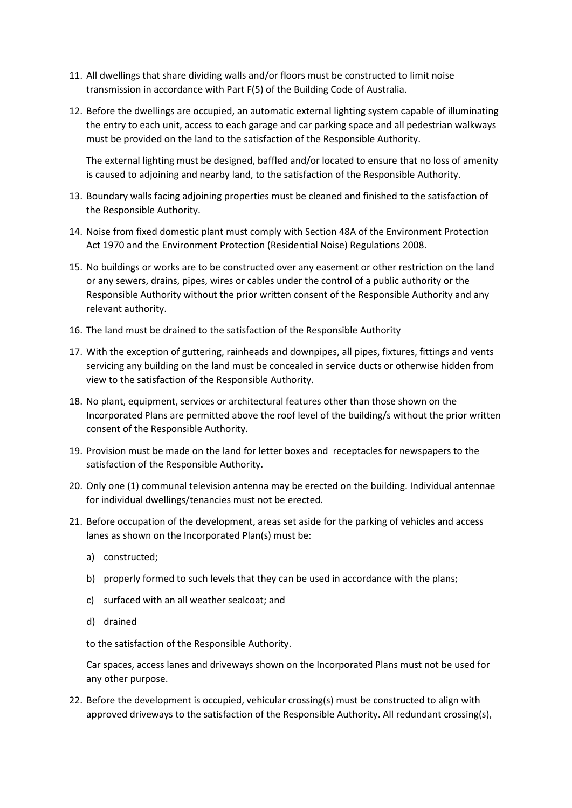- 11. All dwellings that share dividing walls and/or floors must be constructed to limit noise transmission in accordance with Part F(5) of the Building Code of Australia.
- 12. Before the dwellings are occupied, an automatic external lighting system capable of illuminating the entry to each unit, access to each garage and car parking space and all pedestrian walkways must be provided on the land to the satisfaction of the Responsible Authority.

The external lighting must be designed, baffled and/or located to ensure that no loss of amenity is caused to adjoining and nearby land, to the satisfaction of the Responsible Authority.

- 13. Boundary walls facing adjoining properties must be cleaned and finished to the satisfaction of the Responsible Authority.
- 14. Noise from fixed domestic plant must comply with Section 48A of the Environment Protection Act 1970 and the Environment Protection (Residential Noise) Regulations 2008.
- 15. No buildings or works are to be constructed over any easement or other restriction on the land or any sewers, drains, pipes, wires or cables under the control of a public authority or the Responsible Authority without the prior written consent of the Responsible Authority and any relevant authority.
- 16. The land must be drained to the satisfaction of the Responsible Authority
- 17. With the exception of guttering, rainheads and downpipes, all pipes, fixtures, fittings and vents servicing any building on the land must be concealed in service ducts or otherwise hidden from view to the satisfaction of the Responsible Authority.
- 18. No plant, equipment, services or architectural features other than those shown on the Incorporated Plans are permitted above the roof level of the building/s without the prior written consent of the Responsible Authority.
- 19. Provision must be made on the land for letter boxes and receptacles for newspapers to the satisfaction of the Responsible Authority.
- 20. Only one (1) communal television antenna may be erected on the building. Individual antennae for individual dwellings/tenancies must not be erected.
- 21. Before occupation of the development, areas set aside for the parking of vehicles and access lanes as shown on the Incorporated Plan(s) must be:
	- a) constructed;
	- b) properly formed to such levels that they can be used in accordance with the plans;
	- c) surfaced with an all weather sealcoat; and
	- d) drained

to the satisfaction of the Responsible Authority.

Car spaces, access lanes and driveways shown on the Incorporated Plans must not be used for any other purpose.

22. Before the development is occupied, vehicular crossing(s) must be constructed to align with approved driveways to the satisfaction of the Responsible Authority. All redundant crossing(s),